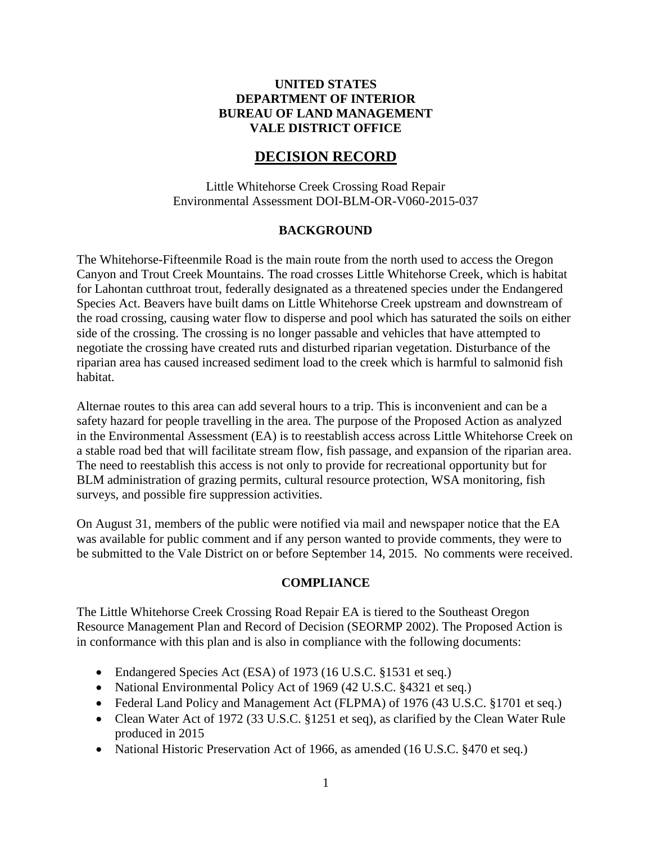## **UNITED STATES DEPARTMENT OF INTERIOR BUREAU OF LAND MANAGEMENT VALE DISTRICT OFFICE**

# **DECISION RECORD**

Little Whitehorse Creek Crossing Road Repair Environmental Assessment DOI-BLM-OR-V060-2015-037

#### **BACKGROUND**

The Whitehorse-Fifteenmile Road is the main route from the north used to access the Oregon Canyon and Trout Creek Mountains. The road crosses Little Whitehorse Creek, which is habitat for Lahontan cutthroat trout, federally designated as a threatened species under the Endangered Species Act. Beavers have built dams on Little Whitehorse Creek upstream and downstream of the road crossing, causing water flow to disperse and pool which has saturated the soils on either side of the crossing. The crossing is no longer passable and vehicles that have attempted to negotiate the crossing have created ruts and disturbed riparian vegetation. Disturbance of the riparian area has caused increased sediment load to the creek which is harmful to salmonid fish habitat.

Alternae routes to this area can add several hours to a trip. This is inconvenient and can be a safety hazard for people travelling in the area. The purpose of the Proposed Action as analyzed in the Environmental Assessment (EA) is to reestablish access across Little Whitehorse Creek on a stable road bed that will facilitate stream flow, fish passage, and expansion of the riparian area. The need to reestablish this access is not only to provide for recreational opportunity but for BLM administration of grazing permits, cultural resource protection, WSA monitoring, fish surveys, and possible fire suppression activities.

On August 31, members of the public were notified via mail and newspaper notice that the EA was available for public comment and if any person wanted to provide comments, they were to be submitted to the Vale District on or before September 14, 2015. No comments were received.

#### **COMPLIANCE**

The Little Whitehorse Creek Crossing Road Repair EA is tiered to the Southeast Oregon Resource Management Plan and Record of Decision (SEORMP 2002). The Proposed Action is in conformance with this plan and is also in compliance with the following documents:

- Endangered Species Act (ESA) of 1973 (16 U.S.C. §1531 et seq.)
- National Environmental Policy Act of 1969 (42 U.S.C. §4321 et seq.)
- Federal Land Policy and Management Act (FLPMA) of 1976 (43 U.S.C. §1701 et seq.)
- Clean Water Act of 1972 (33 U.S.C. §1251 et seq), as clarified by the Clean Water Rule produced in 2015
- National Historic Preservation Act of 1966, as amended (16 U.S.C. §470 et seq.)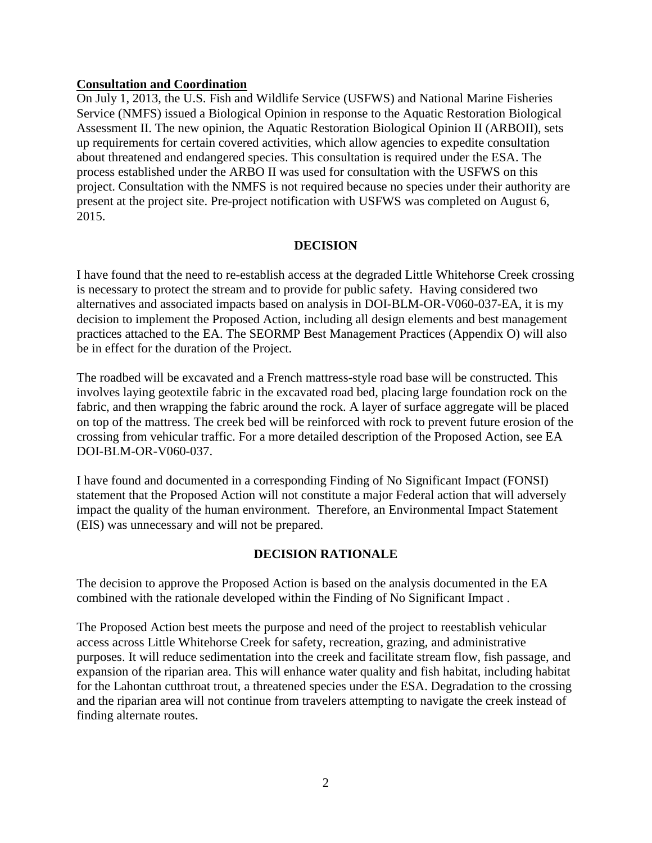### **Consultation and Coordination**

On July 1, 2013, the U.S. Fish and Wildlife Service (USFWS) and National Marine Fisheries Service (NMFS) issued a Biological Opinion in response to the Aquatic Restoration Biological Assessment II. The new opinion, the Aquatic Restoration Biological Opinion II (ARBOII), sets up requirements for certain covered activities, which allow agencies to expedite consultation about threatened and endangered species. This consultation is required under the ESA. The process established under the ARBO II was used for consultation with the USFWS on this project. Consultation with the NMFS is not required because no species under their authority are present at the project site. Pre-project notification with USFWS was completed on August 6, 2015.

#### **DECISION**

I have found that the need to re-establish access at the degraded Little Whitehorse Creek crossing is necessary to protect the stream and to provide for public safety. Having considered two alternatives and associated impacts based on analysis in DOI-BLM-OR-V060-037-EA, it is my decision to implement the Proposed Action, including all design elements and best management practices attached to the EA. The SEORMP Best Management Practices (Appendix O) will also be in effect for the duration of the Project.

The roadbed will be excavated and a French mattress-style road base will be constructed. This involves laying geotextile fabric in the excavated road bed, placing large foundation rock on the fabric, and then wrapping the fabric around the rock. A layer of surface aggregate will be placed on top of the mattress. The creek bed will be reinforced with rock to prevent future erosion of the crossing from vehicular traffic. For a more detailed description of the Proposed Action, see EA DOI-BLM-OR-V060-037.

I have found and documented in a corresponding Finding of No Significant Impact (FONSI) statement that the Proposed Action will not constitute a major Federal action that will adversely impact the quality of the human environment. Therefore, an Environmental Impact Statement (EIS) was unnecessary and will not be prepared.

### **DECISION RATIONALE**

The decision to approve the Proposed Action is based on the analysis documented in the EA combined with the rationale developed within the Finding of No Significant Impact .

The Proposed Action best meets the purpose and need of the project to reestablish vehicular access across Little Whitehorse Creek for safety, recreation, grazing, and administrative purposes. It will reduce sedimentation into the creek and facilitate stream flow, fish passage, and expansion of the riparian area. This will enhance water quality and fish habitat, including habitat for the Lahontan cutthroat trout, a threatened species under the ESA. Degradation to the crossing and the riparian area will not continue from travelers attempting to navigate the creek instead of finding alternate routes.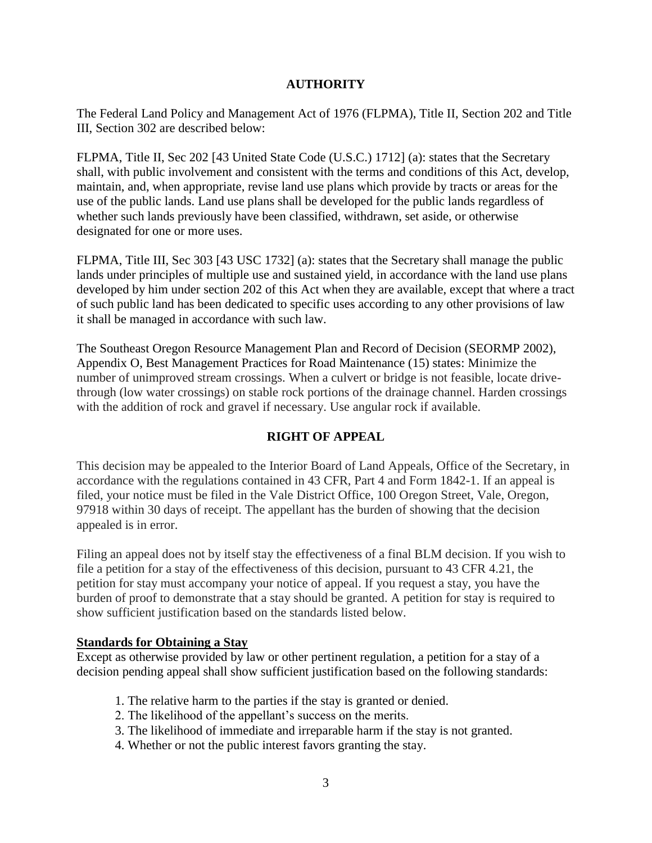# **AUTHORITY**

The Federal Land Policy and Management Act of 1976 (FLPMA), Title II, Section 202 and Title III, Section 302 are described below:

FLPMA, Title II, Sec 202 [43 United State Code (U.S.C.) 1712] (a): states that the Secretary shall, with public involvement and consistent with the terms and conditions of this Act, develop, maintain, and, when appropriate, revise land use plans which provide by tracts or areas for the use of the public lands. Land use plans shall be developed for the public lands regardless of whether such lands previously have been classified, withdrawn, set aside, or otherwise designated for one or more uses.

FLPMA, Title III, Sec 303 [43 USC 1732] (a): states that the Secretary shall manage the public lands under principles of multiple use and sustained yield, in accordance with the land use plans developed by him under section 202 of this Act when they are available, except that where a tract of such public land has been dedicated to specific uses according to any other provisions of law it shall be managed in accordance with such law.

The Southeast Oregon Resource Management Plan and Record of Decision (SEORMP 2002), Appendix O, Best Management Practices for Road Maintenance (15) states: Minimize the number of unimproved stream crossings. When a culvert or bridge is not feasible, locate drivethrough (low water crossings) on stable rock portions of the drainage channel. Harden crossings with the addition of rock and gravel if necessary. Use angular rock if available.

# **RIGHT OF APPEAL**

This decision may be appealed to the Interior Board of Land Appeals, Office of the Secretary, in accordance with the regulations contained in 43 CFR, Part 4 and Form 1842-1. If an appeal is filed, your notice must be filed in the Vale District Office, 100 Oregon Street, Vale, Oregon, 97918 within 30 days of receipt. The appellant has the burden of showing that the decision appealed is in error.

Filing an appeal does not by itself stay the effectiveness of a final BLM decision. If you wish to file a petition for a stay of the effectiveness of this decision, pursuant to 43 CFR 4.21, the petition for stay must accompany your notice of appeal. If you request a stay, you have the burden of proof to demonstrate that a stay should be granted. A petition for stay is required to show sufficient justification based on the standards listed below.

### **Standards for Obtaining a Stay**

Except as otherwise provided by law or other pertinent regulation, a petition for a stay of a decision pending appeal shall show sufficient justification based on the following standards:

- 1. The relative harm to the parties if the stay is granted or denied.
- 2. The likelihood of the appellant's success on the merits.
- 3. The likelihood of immediate and irreparable harm if the stay is not granted.
- 4. Whether or not the public interest favors granting the stay.